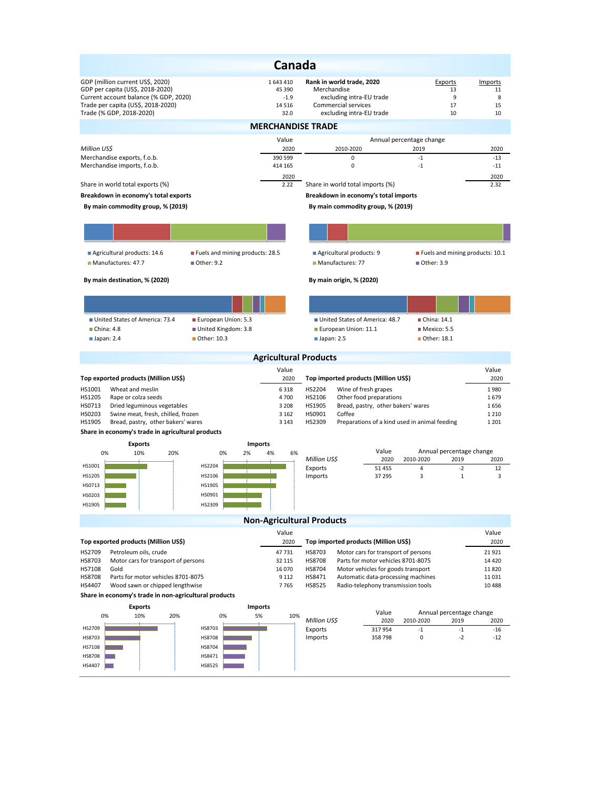| Canada                                                                                                                                                                          |                                                  |                                                                                                                         |                                             |                                |  |  |  |  |  |  |  |
|---------------------------------------------------------------------------------------------------------------------------------------------------------------------------------|--------------------------------------------------|-------------------------------------------------------------------------------------------------------------------------|---------------------------------------------|--------------------------------|--|--|--|--|--|--|--|
| GDP (million current US\$, 2020)<br>GDP per capita (US\$, 2018-2020)<br>Current account balance (% GDP, 2020)<br>Trade per capita (US\$, 2018-2020)<br>Trade (% GDP, 2018-2020) | 1 643 410<br>45 390<br>$-1.9$<br>14 5 16<br>32.0 | Rank in world trade, 2020<br>Merchandise<br>excluding intra-EU trade<br>Commercial services<br>excluding intra-EU trade | Exports<br>13<br>9<br>17<br>10              | Imports<br>11<br>8<br>15<br>10 |  |  |  |  |  |  |  |
| <b>MERCHANDISE TRADE</b>                                                                                                                                                        |                                                  |                                                                                                                         |                                             |                                |  |  |  |  |  |  |  |
| Million US\$                                                                                                                                                                    | Value<br>2020                                    | Annual percentage change<br>2010-2020                                                                                   | 2019                                        | 2020                           |  |  |  |  |  |  |  |
| Merchandise exports, f.o.b.                                                                                                                                                     | 390 599                                          | 0                                                                                                                       | $-1$                                        | $-13$                          |  |  |  |  |  |  |  |
| Merchandise imports, f.o.b.                                                                                                                                                     | 414 165<br>2020                                  | 0                                                                                                                       | $-1$                                        | $-11$<br>2020                  |  |  |  |  |  |  |  |
| Share in world total exports (%)                                                                                                                                                | 2.22                                             | Share in world total imports (%)                                                                                        |                                             | 2.32                           |  |  |  |  |  |  |  |
| Breakdown in economy's total exports                                                                                                                                            | Breakdown in economy's total imports             |                                                                                                                         |                                             |                                |  |  |  |  |  |  |  |
| By main commodity group, % (2019)                                                                                                                                               |                                                  | By main commodity group, % (2019)                                                                                       |                                             |                                |  |  |  |  |  |  |  |
|                                                                                                                                                                                 |                                                  |                                                                                                                         |                                             |                                |  |  |  |  |  |  |  |
| Agricultural products: 14.6<br>Fuels and mining products: 28.5                                                                                                                  |                                                  | Agricultural products: 9                                                                                                | Fuels and mining products: 10.1             |                                |  |  |  |  |  |  |  |
| Manufactures: 47.7<br>■ Other: 9.2                                                                                                                                              |                                                  | Manufactures: 77                                                                                                        | ■ Other: 3.9                                |                                |  |  |  |  |  |  |  |
| By main destination, % (2020)                                                                                                                                                   |                                                  | By main origin, % (2020)                                                                                                |                                             |                                |  |  |  |  |  |  |  |
|                                                                                                                                                                                 |                                                  |                                                                                                                         |                                             |                                |  |  |  |  |  |  |  |
| ■ United States of America: 73.4<br>European Union: 5.3                                                                                                                         |                                                  | United States of America: 48.7                                                                                          | ■ China: 14.1                               |                                |  |  |  |  |  |  |  |
| China: 4.8<br>United Kingdom: 3.8<br>■ Other: 10.3<br>$\blacksquare$ Japan: 2.4                                                                                                 |                                                  | European Union: 11.1<br>$\blacksquare$ Japan: 2.5                                                                       | Mexico: 5.5<br>Other: 18.1                  |                                |  |  |  |  |  |  |  |
|                                                                                                                                                                                 | <b>Agricultural Products</b>                     |                                                                                                                         |                                             |                                |  |  |  |  |  |  |  |
|                                                                                                                                                                                 | Value                                            |                                                                                                                         |                                             | Value                          |  |  |  |  |  |  |  |
| Top exported products (Million US\$)                                                                                                                                            | 2020                                             | Top imported products (Million US\$)                                                                                    |                                             | 2020                           |  |  |  |  |  |  |  |
| HS1001<br>Wheat and meslin                                                                                                                                                      | 6318<br>4700                                     | HS2204<br>Wine of fresh grapes                                                                                          |                                             | 1980<br>1679                   |  |  |  |  |  |  |  |
| HS1205<br>Rape or colza seeds<br>HS0713<br>Dried leguminous vegetables                                                                                                          |                                                  | HS2106<br>Other food preparations<br>HS1905<br>Bread, pastry, other bakers' wares<br>1656                               |                                             |                                |  |  |  |  |  |  |  |
| 3 2 0 8<br>HS0203<br>Swine meat, fresh, chilled, frozen<br>3 1 6 2                                                                                                              |                                                  | Coffee<br>HS0901<br>1 2 1 0                                                                                             |                                             |                                |  |  |  |  |  |  |  |
| HS1905<br>Bread, pastry, other bakers' wares                                                                                                                                    | 3 1 4 3                                          | HS2309<br>Preparations of a kind used in animal feeding                                                                 |                                             | 1 2 0 1                        |  |  |  |  |  |  |  |
| Share in economy's trade in agricultural products<br><b>Exports</b>                                                                                                             | <b>Imports</b>                                   |                                                                                                                         |                                             |                                |  |  |  |  |  |  |  |
| 0%<br>10%<br>20%<br>0%<br>2%                                                                                                                                                    | 4%<br>6%                                         | Value                                                                                                                   | Annual percentage change                    |                                |  |  |  |  |  |  |  |
| HS1001<br>HS2204                                                                                                                                                                |                                                  | Million US\$<br>2020<br>Exports<br>51 455                                                                               | 2010-2020<br>2019<br>$\overline{4}$<br>$-2$ | 2020<br>12                     |  |  |  |  |  |  |  |
| HS1205<br>HS2106                                                                                                                                                                |                                                  | Imports<br>37 295                                                                                                       | 3<br>$\mathbf 1$                            | 3                              |  |  |  |  |  |  |  |
| HS0713<br>HS1905                                                                                                                                                                |                                                  |                                                                                                                         |                                             |                                |  |  |  |  |  |  |  |
| HS0203<br>HS0901                                                                                                                                                                |                                                  |                                                                                                                         |                                             |                                |  |  |  |  |  |  |  |
| HS1905<br>HS2309                                                                                                                                                                |                                                  |                                                                                                                         |                                             |                                |  |  |  |  |  |  |  |
|                                                                                                                                                                                 | <b>Non-Agricultural Products</b>                 |                                                                                                                         |                                             |                                |  |  |  |  |  |  |  |
| Top exported products (Million US\$)                                                                                                                                            | Value<br>2020                                    | Top imported products (Million US\$)                                                                                    |                                             | Value<br>2020                  |  |  |  |  |  |  |  |
| Petroleum oils, crude<br>HS2709                                                                                                                                                 | 47 731                                           | HS8703<br>Motor cars for transport of persons                                                                           |                                             | 21 9 21                        |  |  |  |  |  |  |  |
| HS8703<br>Motor cars for transport of persons                                                                                                                                   | 32 115                                           | Parts for motor vehicles 8701-8075<br>HS8708                                                                            |                                             | 14 4 20                        |  |  |  |  |  |  |  |
| HS7108<br>Gold<br>Parts for motor vehicles 8701-8075<br><b>HS8708</b>                                                                                                           | 16 070<br>9 1 1 2                                | HS8704<br>Motor vehicles for goods transport<br>HS8471<br>Automatic data-processing machines                            |                                             | 11 8 20<br>11 0 31             |  |  |  |  |  |  |  |
| HS4407<br>Wood sawn or chipped lengthwise                                                                                                                                       | 7765                                             | HS8525<br>Radio-telephony transmission tools                                                                            |                                             | 10 4 88                        |  |  |  |  |  |  |  |
| Share in economy's trade in non-agricultural products                                                                                                                           |                                                  |                                                                                                                         |                                             |                                |  |  |  |  |  |  |  |
| <b>Exports</b><br><b>Imports</b><br>Value<br>Annual percentage change                                                                                                           |                                                  |                                                                                                                         |                                             |                                |  |  |  |  |  |  |  |
| 10%<br>0%<br>20%<br>0%                                                                                                                                                          | 5%<br>10%                                        | Million US\$<br>2020                                                                                                    | 2010-2020<br>2019                           | 2020                           |  |  |  |  |  |  |  |
| HS2709<br>HS8703                                                                                                                                                                |                                                  | Exports<br>317954                                                                                                       | $-1$<br>$-1$                                | $-16$                          |  |  |  |  |  |  |  |
| HS8703<br><b>HS8708</b><br>HS7108<br>HS8704                                                                                                                                     |                                                  | Imports<br>358798                                                                                                       | 0<br>$-2$                                   | $-12$                          |  |  |  |  |  |  |  |
| <b>HS8708</b><br>HS8471                                                                                                                                                         |                                                  |                                                                                                                         |                                             |                                |  |  |  |  |  |  |  |
| HS8525<br>HS4407                                                                                                                                                                |                                                  |                                                                                                                         |                                             |                                |  |  |  |  |  |  |  |
|                                                                                                                                                                                 |                                                  |                                                                                                                         |                                             |                                |  |  |  |  |  |  |  |